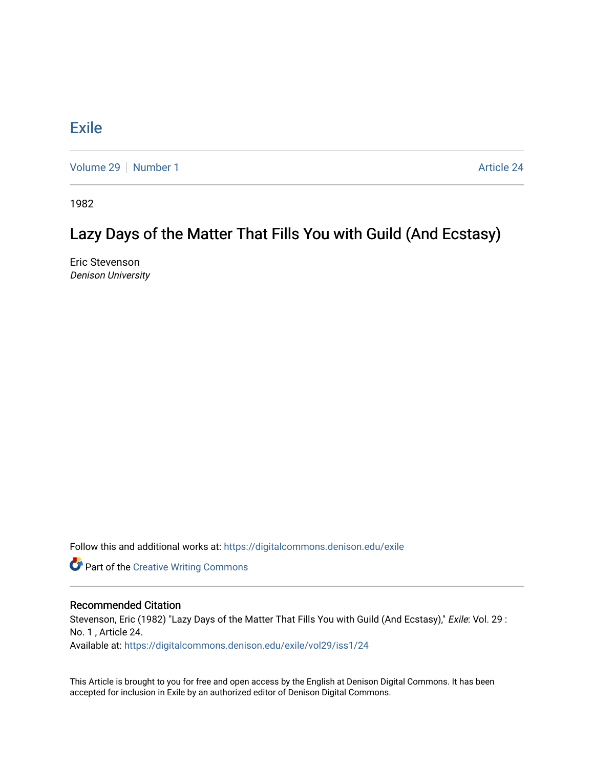## **[Exile](https://digitalcommons.denison.edu/exile)**

[Volume 29](https://digitalcommons.denison.edu/exile/vol29) | [Number 1](https://digitalcommons.denison.edu/exile/vol29/iss1) Article 24

1982

## Lazy Days of the Matter That Fills You with Guild (And Ecstasy)

Eric Stevenson Denison University

Follow this and additional works at: [https://digitalcommons.denison.edu/exile](https://digitalcommons.denison.edu/exile?utm_source=digitalcommons.denison.edu%2Fexile%2Fvol29%2Fiss1%2F24&utm_medium=PDF&utm_campaign=PDFCoverPages) 

Part of the [Creative Writing Commons](http://network.bepress.com/hgg/discipline/574?utm_source=digitalcommons.denison.edu%2Fexile%2Fvol29%2Fiss1%2F24&utm_medium=PDF&utm_campaign=PDFCoverPages) 

## Recommended Citation

Stevenson, Eric (1982) "Lazy Days of the Matter That Fills You with Guild (And Ecstasy)," Exile: Vol. 29 : No. 1 , Article 24.

Available at: [https://digitalcommons.denison.edu/exile/vol29/iss1/24](https://digitalcommons.denison.edu/exile/vol29/iss1/24?utm_source=digitalcommons.denison.edu%2Fexile%2Fvol29%2Fiss1%2F24&utm_medium=PDF&utm_campaign=PDFCoverPages)

This Article is brought to you for free and open access by the English at Denison Digital Commons. It has been accepted for inclusion in Exile by an authorized editor of Denison Digital Commons.